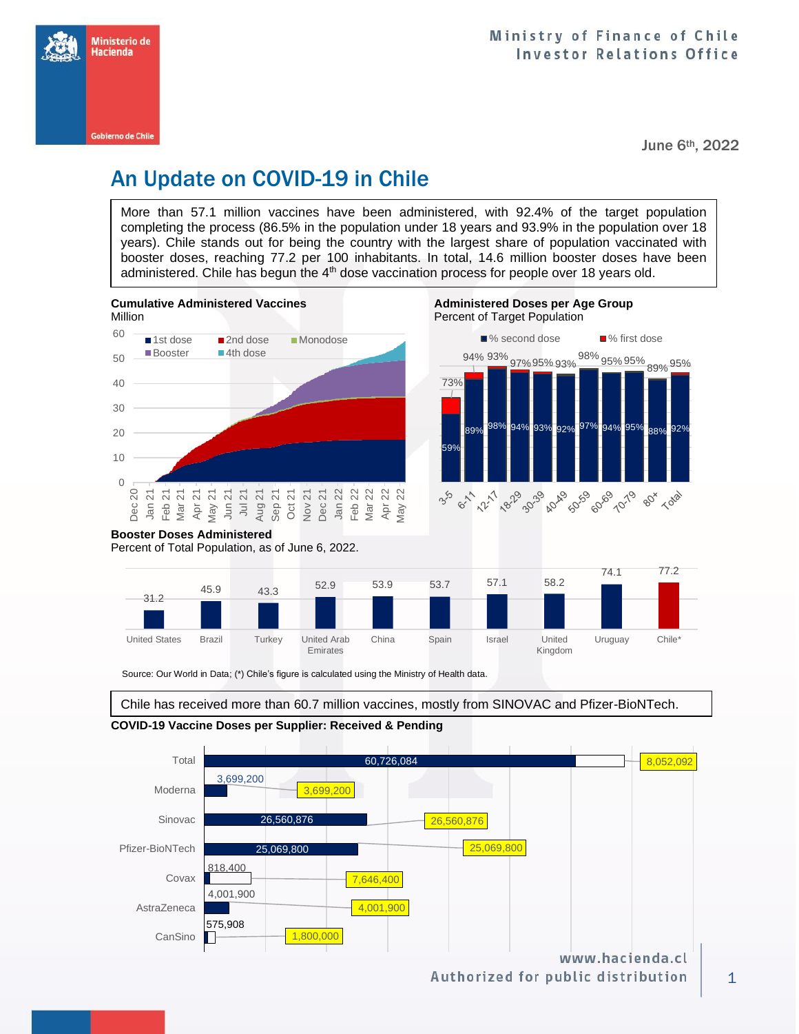

June 6th, 2022

# An Update on COVID-19 in Chile

More than 57.1 million vaccines have been administered, with 92.4% of the target population completing the process (86.5% in the population under 18 years and 93.9% in the population over 18 years). Chile stands out for being the country with the largest share of population vaccinated with booster doses, reaching 77.2 per 100 inhabitants. In total, 14.6 million booster doses have been administered. Chile has begun the  $4<sup>th</sup>$  dose vaccination process for people over 18 years old.



Source: Our World in Data; (\*) Chile's figure is calculated using the Ministry of Health data.

Emirates

Chile has received more than 60.7 million vaccines, mostly from SINOVAC and Pfizer-BioNTech.

Kingdom



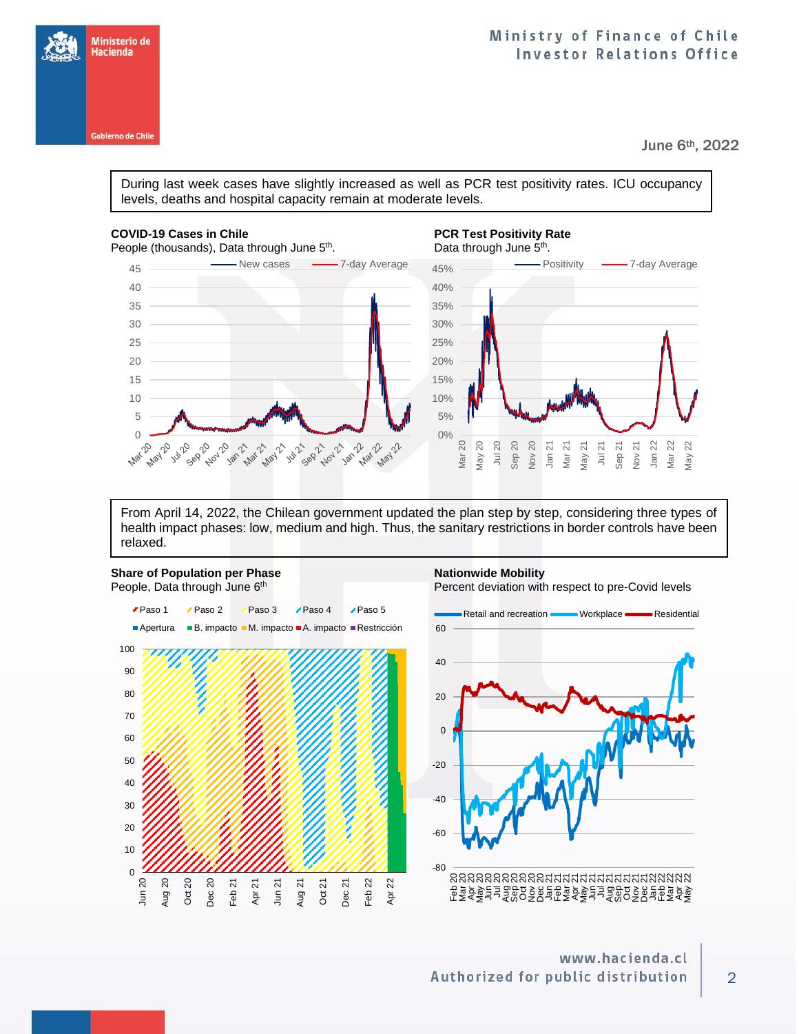

June 6th, 2022

During last week cases have slightly increased as well as PCR test positivity rates. ICU occupancy levels, deaths and hospital capacity remain at moderate levels.

### **COVID-19 Cases in Chile PCR Test Positivity Rate PCR Test Positivity Rate**

Ministerio de Hacienda

Gobierno de Chile



## . Data through June 5<sup>th</sup>.



From April 14, 2022, the Chilean government updated the plan step by step, considering three types of health impact phases: low, medium and high. Thus, the sanitary restrictions in border controls have been relaxed.

### **Share of Population per Phase <b>Nationwide Mobility Nationwide Mobility** People, Data through June 6th

Percent deviation with respect to pre-Covid levels





### www.hacienda.cl Authorized for public distribution